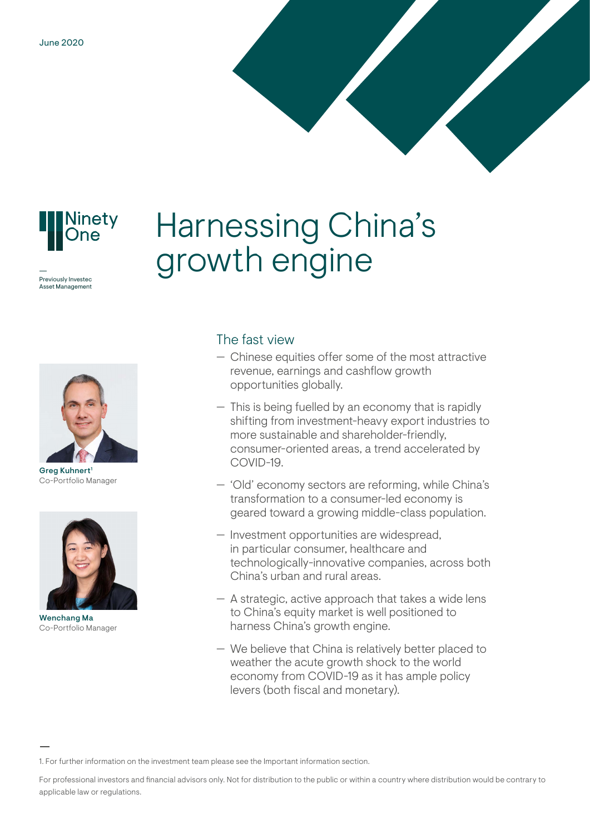

Previously Investec Asset Management Harnessing China's growth engine



Greg Kuhnert<sup>1</sup> Co-Portfolio Manager



Wenchang Ma Co-Portfolio Manager

## The fast view

- Chinese equities offer some of the most attractive revenue, earnings and cashflow growth opportunities globally.
- This is being fuelled by an economy that is rapidly shifting from investment-heavy export industries to more sustainable and shareholder-friendly, consumer-oriented areas, a trend accelerated by COVID-19.
- 'Old' economy sectors are reforming, while China's transformation to a consumer-led economy is geared toward a growing middle-class population.
- Investment opportunities are widespread, in particular consumer, healthcare and technologically-innovative companies, across both China's urban and rural areas.
- A strategic, active approach that takes a wide lens to China's equity market is well positioned to harness China's growth engine.
- We believe that China is relatively better placed to weather the acute growth shock to the world economy from COVID-19 as it has ample policy levers (both fiscal and monetary).

For professional investors and financial advisors only. Not for distribution to the public or within a country where distribution would be contrary to applicable law or regulations.

<sup>1.</sup> For further information on the investment team please see the Important information section.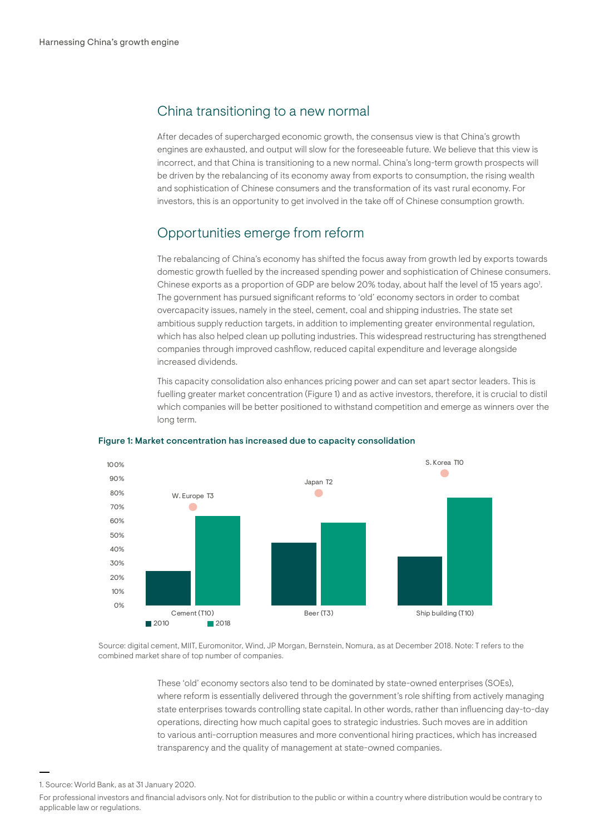## China transitioning to a new normal

After decades of supercharged economic growth, the consensus view is that China's growth engines are exhausted, and output will slow for the foreseeable future. We believe that this view is incorrect, and that China is transitioning to a new normal. China's long-term growth prospects will be driven by the rebalancing of its economy away from exports to consumption, the rising wealth and sophistication of Chinese consumers and the transformation of its vast rural economy. For investors, this is an opportunity to get involved in the take off of Chinese consumption growth.

## Opportunities emerge from reform

The rebalancing of China's economy has shifted the focus away from growth led by exports towards domestic growth fuelled by the increased spending power and sophistication of Chinese consumers. Chinese exports as a proportion of GDP are below 20% today, about half the level of 15 years ago<sup>1</sup>. The government has pursued significant reforms to 'old' economy sectors in order to combat overcapacity issues, namely in the steel, cement, coal and shipping industries. The state set ambitious supply reduction targets, in addition to implementing greater environmental regulation, which has also helped clean up polluting industries. This widespread restructuring has strengthened companies through improved cashflow, reduced capital expenditure and leverage alongside increased dividends.

This capacity consolidation also enhances pricing power and can set apart sector leaders. This is fuelling greater market concentration (Figure 1) and as active investors, therefore, it is crucial to distil which companies will be better positioned to withstand competition and emerge as winners over the long term.



### Figure 1: Market concentration has increased due to capacity consolidation

Source: digital cement, MIIT, Euromonitor, Wind, JP Morgan, Bernstein, Nomura, as at December 2018. Note: T refers to the combined market share of top number of companies.

> These 'old' economy sectors also tend to be dominated by state-owned enterprises (SOEs), where reform is essentially delivered through the government's role shifting from actively managing state enterprises towards controlling state capital. In other words, rather than influencing day-to-day operations, directing how much capital goes to strategic industries. Such moves are in addition to various anti-corruption measures and more conventional hiring practices, which has increased transparency and the quality of management at state-owned companies.

<sup>1.</sup> Source: World Bank, as at 31 January 2020.

For professional investors and financial advisors only. Not for distribution to the public or within a country where distribution would be contrary to applicable law or regulations.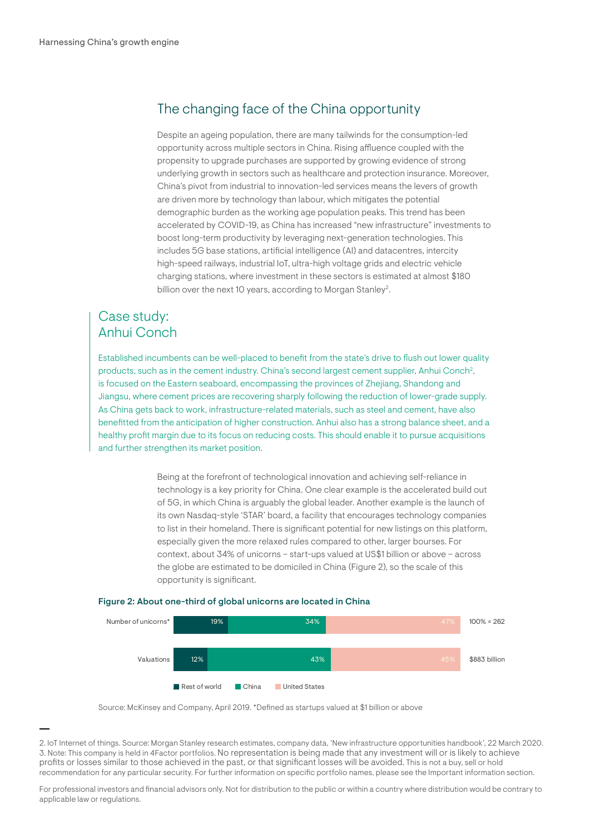# The changing face of the China opportunity

Despite an ageing population, there are many tailwinds for the consumption-led opportunity across multiple sectors in China. Rising affluence coupled with the propensity to upgrade purchases are supported by growing evidence of strong underlying growth in sectors such as healthcare and protection insurance. Moreover, China's pivot from industrial to innovation-led services means the levers of growth are driven more by technology than labour, which mitigates the potential demographic burden as the working age population peaks. This trend has been accelerated by COVID-19, as China has increased "new infrastructure" investments to boost long-term productivity by leveraging next-generation technologies. This includes 5G base stations, artificial intelligence (AI) and datacentres, intercity high-speed railways, industrial IoT, ultra-high voltage grids and electric vehicle charging stations, where investment in these sectors is estimated at almost \$180 billion over the next 10 years, according to Morgan Stanley<sup>2</sup>.

## Case study: Anhui Conch

Established incumbents can be well-placed to benefit from the state's drive to flush out lower quality products, such as in the cement industry. China's second largest cement supplier, Anhui Conch<sup>2</sup>, is focused on the Eastern seaboard, encompassing the provinces of Zhejiang, Shandong and Jiangsu, where cement prices are recovering sharply following the reduction of lower-grade supply. As China gets back to work, infrastructure-related materials, such as steel and cement, have also benefitted from the anticipation of higher construction. Anhui also has a strong balance sheet, and a healthy profit margin due to its focus on reducing costs. This should enable it to pursue acquisitions and further strengthen its market position.

> Being at the forefront of technological innovation and achieving self-reliance in technology is a key priority for China. One clear example is the accelerated build out of 5G, in which China is arguably the global leader. Another example is the launch of its own [Nasdaq-style 'STAR' board,](https://www.investecassetmanagement.com/international/professional-investor/en/insight/understanding-china/chinas-transformation-tech-star-board-debuts) a facility that encourages technology companies to list in their homeland. There is significant potential for new listings on this platform, especially given the more relaxed rules compared to other, larger bourses. For context, about 34% of unicorns – start-ups valued at US\$1 billion or above – across the globe are estimated to be domiciled in China (Figure 2), so the scale of this opportunity is significant.



### Figure 2: About one-third of global unicorns are located in China

Source: McKinsey and Company, April 2019. \*Defined as startups valued at \$1 billion or above

For professional investors and financial advisors only. Not for distribution to the public or within a country where distribution would be contrary to applicable law or regulations.

<sup>2.</sup> IoT Internet of things. Source: Morgan Stanley research estimates, company data, 'New infrastructure opportunities handbook', 22 March 2020. 3. Note: This company is held in 4Factor portfolios. No representation is being made that any investment will or is likely to achieve profits or losses similar to those achieved in the past, or that significant losses will be avoided. This is not a buy, sell or hold recommendation for any particular security. For further information on specific portfolio names, please see the Important information section.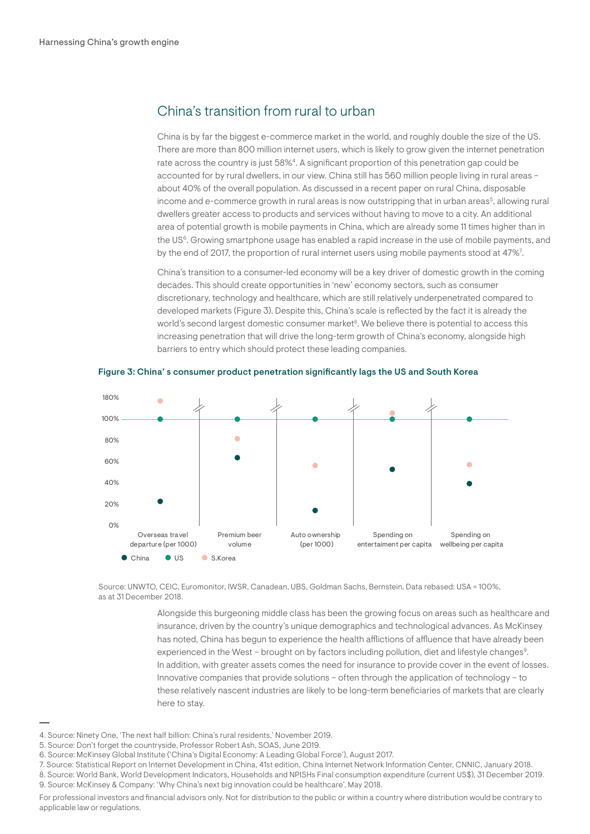## China's transition from rural to urban

China is by far the biggest e-commerce market in the world, and roughly double the size of the US. There are more than 800 million internet users, which is likely to grow given the internet penetration rate across the country is just 58%4. A significant proportion of this penetration gap could be accounted for by rural dwellers, in our view. China still has 560 million people living in rural areas – about 40% of the overall population. As discussed in a recent paper on rural China, disposable income and e-commerce growth in rural areas is now outstripping that in urban areas<sup>5</sup>, allowing rural dwellers greater access to products and services without having to move to a city. An additional area of potential growth is mobile payments in China, which are already some 11 times higher than in the US<sup>6</sup>. Growing smartphone usage has enabled a rapid increase in the use of mobile payments, and by the end of 2017, the proportion of rural internet users using mobile payments stood at 47%<sup>7</sup>.

China's transition to a consumer-led economy will be a key driver of domestic growth in the coming decades. This should create opportunities in 'new' economy sectors, such as consumer discretionary, technology and healthcare, which are still relatively underpenetrated compared to developed markets (Figure 3). Despite this, China's scale is reflected by the fact it is already the world's second largest domestic consumer market<sup>8</sup>. We believe there is potential to access this increasing penetration that will drive the long-term growth of China's economy, alongside high barriers to entry which should protect these leading companies.





Source: UNWTO, CEIC, Euromonitor, IWSR, Canadean, UBS, Goldman Sachs, Bernstein, Data rebased: USA = 100%, as at 31 December 2018.

> Alongside this burgeoning middle class has been the growing focus on areas such as healthcare and insurance, driven by the country's unique demographics and technological advances. As McKinsey has noted, China has begun to experience the health afflictions of affluence that have already been experienced in the West - brought on by factors including pollution, diet and lifestyle changes<sup>9</sup>. In addition, with greater assets comes the need for insurance to provide cover in the event of losses. Innovative companies that provide solutions – often through the application of technology – to these relatively nascent industries are likely to be long-term beneficiaries of markets that are clearly here to stay.

<sup>4.</sup> Source: Ninety One, 'The next half billion: China's rural residents,' November 2019.

<sup>5.</sup> Source: Don't forget the countryside, Professor Robert Ash, SOAS, June 2019.

<sup>6.</sup> Source: McKinsey Global Institute ('China's Digital Economy: A Leading Global Force'), August 2017.

<sup>7.</sup> Source: Statistical Report on Internet Development in China, 41st edition, China Internet Network Information Center, CNNIC, January 2018. 8. Source: World Bank, World Development Indicators, Households and NPISHs Final consumption expenditure (current US\$), 31 December 2019. 9. Source: McKinsey & Company: 'Why China's next big innovation could be healthcare', May 2018.

For professional investors and financial advisors only. Not for distribution to the public or within a country where distribution would be contrary to applicable law or regulations.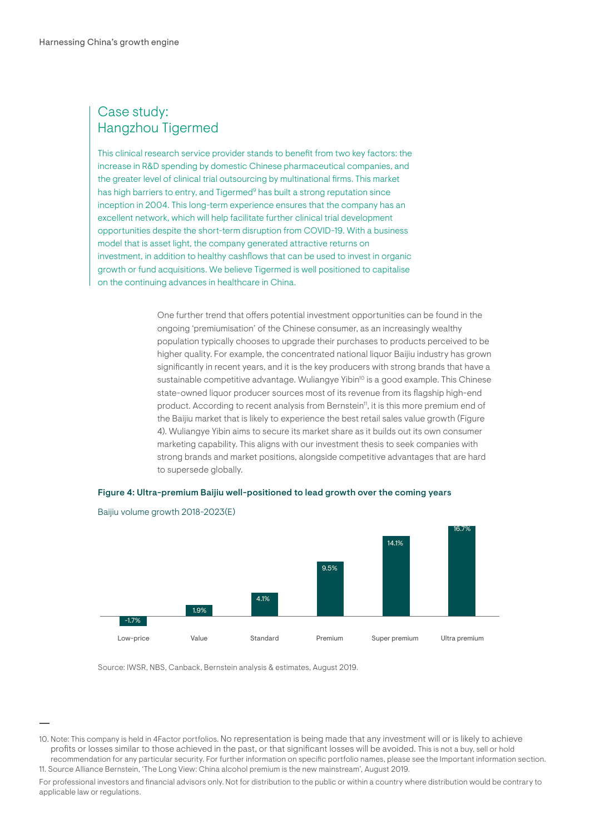## Case study: Hangzhou Tigermed

This clinical research service provider stands to benefit from two key factors: the increase in R&D spending by domestic Chinese pharmaceutical companies, and the greater level of clinical trial outsourcing by multinational firms. This market has high barriers to entry, and Tigermed<sup>9</sup> has built a strong reputation since inception in 2004. This long-term experience ensures that the company has an excellent network, which will help facilitate further clinical trial development opportunities despite the short-term disruption from COVID-19. With a business model that is asset light, the company generated attractive returns on investment, in addition to healthy cashflows that can be used to invest in organic growth or fund acquisitions. We believe Tigermed is well positioned to capitalise on the continuing advances in healthcare in China.

> One further trend that offers potential investment opportunities can be found in the ongoing 'premiumisation' of the Chinese consumer, as an increasingly wealthy population typically chooses to upgrade their purchases to products perceived to be higher quality. For example, the concentrated national liquor Baijiu industry has grown significantly in recent years, and it is the key producers with strong brands that have a sustainable competitive advantage. Wuliangye Yibin<sup>10</sup> is a good example. This Chinese state-owned liquor producer sources most of its revenue from its flagship high-end product. According to recent analysis from Bernstein<sup>11</sup>, it is this more premium end of the Baijiu market that is likely to experience the best retail sales value growth (Figure 4). Wuliangye Yibin aims to secure its market share as it builds out its own consumer marketing capability. This aligns with our investment thesis to seek companies with strong brands and market positions, alongside competitive advantages that are hard to supersede globally.

## Figure 4: Ultra-premium Baijiu well-positioned to lead growth over the coming years



Baijiu volume growth 2018-2023(E)

Source: IWSR, NBS, Canback, Bernstein analysis & estimates, August 2019.

<sup>10.</sup> Note: This company is held in 4Factor portfolios. No representation is being made that any investment will or is likely to achieve profits or losses similar to those achieved in the past, or that significant losses will be avoided. This is not a buy, sell or hold recommendation for any particular security. For further information on specific portfolio names, please see the Important information section. 11. Source Alliance Bernstein, 'The Long View: China alcohol premium is the new mainstream', August 2019.

For professional investors and financial advisors only. Not for distribution to the public or within a country where distribution would be contrary to applicable law or regulations.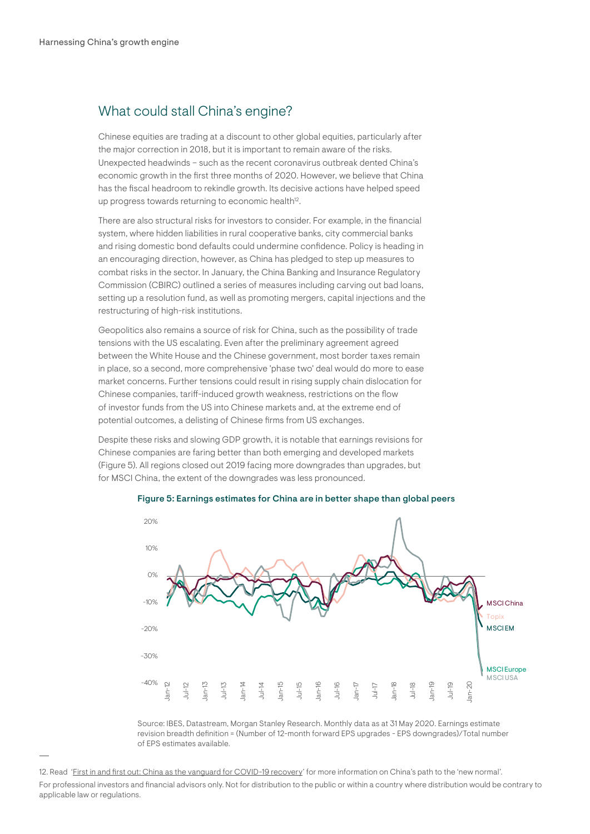## What could stall China's engine?

Chinese equities are trading at a discount to other global equities, particularly after the major correction in 2018, but it is important to remain aware of the risks. Unexpected headwinds – such as the recent coronavirus outbreak dented China's economic growth in the first three months of 2020. However, we believe that China has the fiscal headroom to rekindle growth. Its decisive actions have helped speed up progress towards returning to economic health<sup>12</sup>.

There are also structural risks for investors to consider. For example, in the financial system, where hidden liabilities in rural cooperative banks, city commercial banks and rising domestic bond defaults could undermine confidence. Policy is heading in an encouraging direction, however, as China has pledged to step up measures to combat risks in the sector. In January, the China Banking and Insurance Regulatory Commission (CBIRC) outlined a series of measures including carving out bad loans, setting up a resolution fund, as well as promoting mergers, capital injections and the restructuring of high-risk institutions.

Geopolitics also remains a source of risk for China, such as the possibility of trade tensions with the US escalating. Even after the preliminary agreement agreed between the White House and the Chinese government, most border taxes remain in place, so a second, more comprehensive 'phase two' deal would do more to ease market concerns. Further tensions could result in rising supply chain dislocation for Chinese companies, tariff-induced growth weakness, restrictions on the flow of investor funds from the US into Chinese markets and, at the extreme end of potential outcomes, a delisting of Chinese firms from US exchanges.

Despite these risks and slowing GDP growth, it is notable that earnings revisions for Chinese companies are faring better than both emerging and developed markets (Figure 5). All regions closed out 2019 facing more downgrades than upgrades, but for MSCI China, the extent of the downgrades was less pronounced.



Figure 5: Earnings estimates for China are in better shape than global peers

Source: IBES, Datastream, Morgan Stanley Research. Monthly data as at 31 May 2020. Earnings estimate revision breadth definition = (Number of 12-month forward EPS upgrades - EPS downgrades)/Total number of EPS estimates available.

For professional investors and financial advisors only. Not for distribution to the public or within a country where distribution would be contrary to applicable law or regulations.

<sup>12.</sup> Read 'Eirst in and first out: China as the vanguard for COVID-19 recovery' for more information on China's path to the 'new normal'.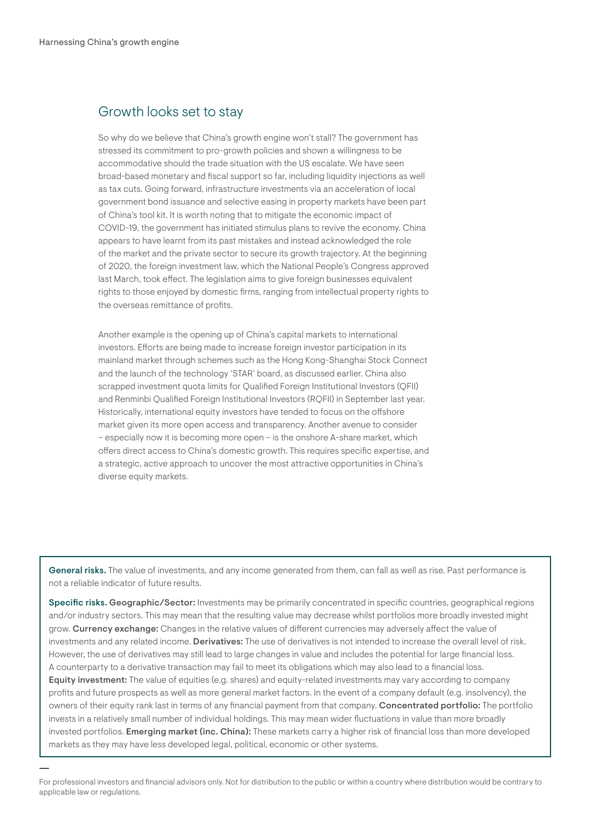## Growth looks set to stay

So why do we believe that China's growth engine won't stall? The government has stressed its commitment to pro-growth policies and shown a willingness to be accommodative should the trade situation with the US escalate. We have seen broad-based monetary and fiscal support so far, including liquidity injections as well as tax cuts. Going forward, infrastructure investments via an acceleration of local government bond issuance and selective easing in property markets have been part of China's tool kit. It is worth noting that to mitigate the economic impact of COVID-19, the government has initiated stimulus plans to revive the economy. China appears to have learnt from its past mistakes and instead acknowledged the role of the market and the private sector to secure its growth trajectory. At the beginning of 2020, the foreign investment law, which the National People's Congress approved last March, took effect. The legislation aims to give foreign businesses equivalent rights to those enjoyed by domestic firms, ranging from intellectual property rights to the overseas remittance of profits.

Another example is the opening up of China's capital markets to international investors. Efforts are being made to increase foreign investor participation in its mainland market through schemes such as the Hong Kong-Shanghai Stock Connect and the launch of the technology 'STAR' board, as discussed earlier. China also scrapped investment quota limits for Qualified Foreign Institutional Investors (OFII) and Renminbi Qualified Foreign Institutional Investors (RQFII) in September last year. Historically, international equity investors have tended to focus on the offshore market given its more open access and transparency. Another avenue to consider – especially now it is becoming more open – is the onshore A-share market, which offers direct access to China's domestic growth. This requires specific expertise, and a strategic, active approach to uncover the most attractive opportunities in China's diverse equity markets.

General risks. The value of investments, and any income generated from them, can fall as well as rise. Past performance is not a reliable indicator of future results.

Specific risks. Geographic/Sector: Investments may be primarily concentrated in specific countries, geographical regions and/or industry sectors. This may mean that the resulting value may decrease whilst portfolios more broadly invested might grow. Currency exchange: Changes in the relative values of different currencies may adversely affect the value of investments and any related income. Derivatives: The use of derivatives is not intended to increase the overall level of risk. However, the use of derivatives may still lead to large changes in value and includes the potential for large financial loss. A counterparty to a derivative transaction may fail to meet its obligations which may also lead to a financial loss. Equity investment: The value of equities (e.g. shares) and equity-related investments may vary according to company profits and future prospects as well as more general market factors. In the event of a company default (e.g. insolvency), the owners of their equity rank last in terms of any financial payment from that company. Concentrated portfolio: The portfolio invests in a relatively small number of individual holdings. This may mean wider fluctuations in value than more broadly invested portfolios. Emerging market (inc. China): These markets carry a higher risk of financial loss than more developed markets as they may have less developed legal, political, economic or other systems.

For professional investors and financial advisors only. Not for distribution to the public or within a country where distribution would be contrary to applicable law or regulations.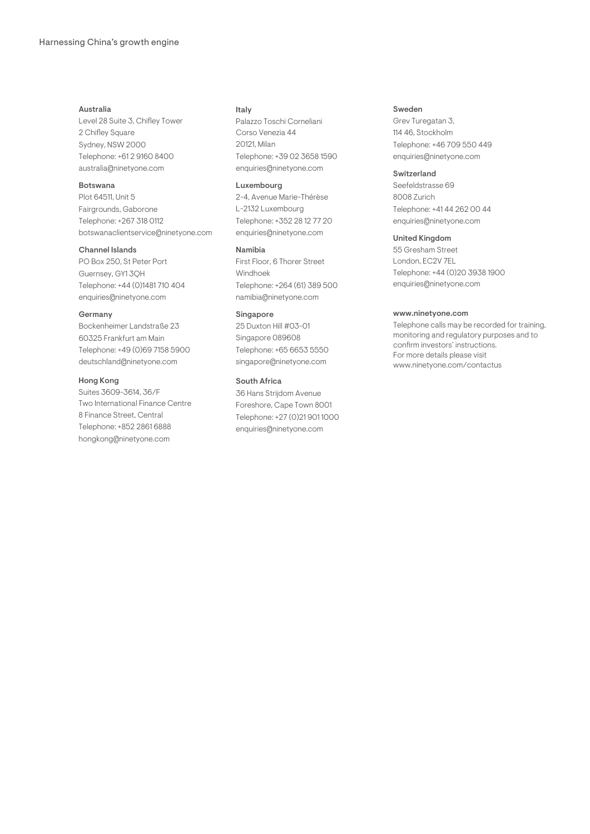### Australia

Level 28 Suite 3, Chifley Tower 2 Chifley Square Sydney, NSW 2000 Telephone: +61 2 9160 8400 australia@ninetyone.com

## Botswana

Plot 64511, Unit 5 Fairgrounds, Gaborone Telephone: +267 318 0112 botswanaclientservice@ninetyone.com

#### Channel Islands

PO Box 250, St Peter Port Guernsey, GY1 3QH Telephone: +44 (0)1481 710 404 enquiries@ninetyone.com

#### Germany

Bockenheimer Landstraße 23 60325 Frankfurt am Main Telephone: +49 (0)69 7158 5900 deutschland@ninetyone.com

#### Hong Kong

Suites 3609-3614, 36/F Two International Finance Centre 8 Finance Street, Central Telephone: +852 2861 6888 hongkong@ninetyone.com

### Italy

Palazzo Toschi Corneliani Corso Venezia 44 20121, Milan Telephone: +39 02 3658 1590 enquiries@ninetyone.com

#### Luxembourg

2-4, Avenue Marie-Thérèse L-2132 Luxembourg Telephone: +352 28 12 77 20 enquiries@ninetyone.com

### Namibia

First Floor, 6 Thorer Street Windhoek Telephone: +264 (61) 389 500 namibia@ninetyone.com

## Singapore

25 Duxton Hill #03-01 Singapore 089608 Telephone: +65 6653 5550 singapore@ninetyone.com

### South Africa

36 Hans Strijdom Avenue Foreshore, Cape Town 8001 Telephone: +27 (0)21 901 1000 enquiries@ninetyone.com

#### Sweden

Grev Turegatan 3, 114 46, Stockholm Telephone: +46 709 550 449 enquiries@ninetyone.com

### Switzerland

Seefeldstrasse 69 8008 Zurich Telephone: +41 44 262 00 44 enquiries@ninetyone.com

## United Kingdom

55 Gresham Street London, EC2V 7EL Telephone: +44 (0)20 3938 1900 enquiries@ninetyone.com

#### www.ninetyone.com

Telephone calls may be recorded for training, monitoring and regulatory purposes and to confirm investors' instructions. For more details please visit www.ninetyone.com/contactus